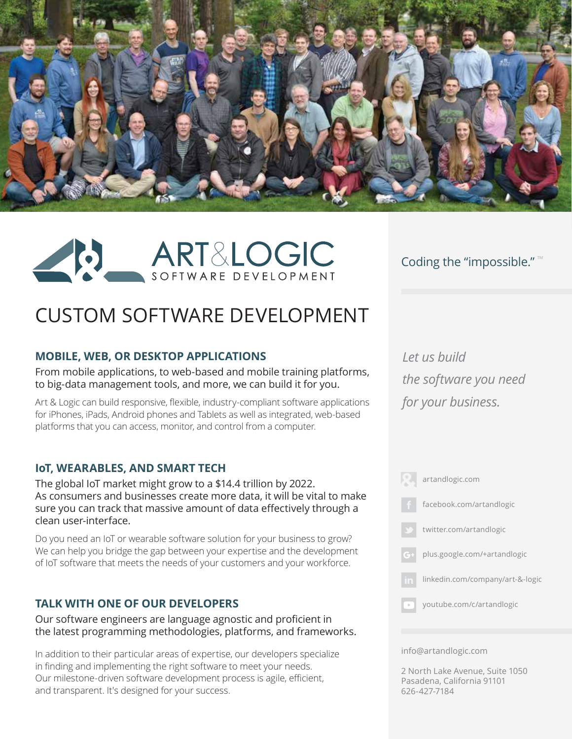



# Coding the "impossible." ™

# CUSTOM SOFTWARE DEVELOPMENT

### **MOBILE, WEB, OR DESKTOP APPLICATIONS**

From mobile applications, to web-based and mobile training platforms, to big-data management tools, and more, we can build it for you.

Art & Logic can build responsive, flexible, industry-compliant software applications for iPhones, iPads, Android phones and Tablets as well as integrated, web-based platforms that you can access, monitor, and control from a computer.

### **IoT, WEARABLES, AND SMART TECH**

The global IoT market might grow to a \$14.4 trillion by 2022. As consumers and businesses create more data, it will be vital to make sure you can track that massive amount of data effectively through a clean user-interface.

Do you need an IoT or wearable software solution for your business to grow? We can help you bridge the gap between your expertise and the development of IoT software that meets the needs of your customers and your workforce.

### **TALK WITH ONE OF OUR DEVELOPERS**

Our software engineers are language agnostic and proficient in the latest programming methodologies, platforms, and frameworks.

In addition to their particular areas of expertise, our developers specialize in finding and implementing the right software to meet your needs. Our milestone-driven software development process is agile, efficient, and transparent. It's designed for your success.

*Let us build the software you need for your business.*



#### info@artandlogic.com

2 North Lake Avenue, Suite 1050 Pasadena, California 91101 626-427-7184